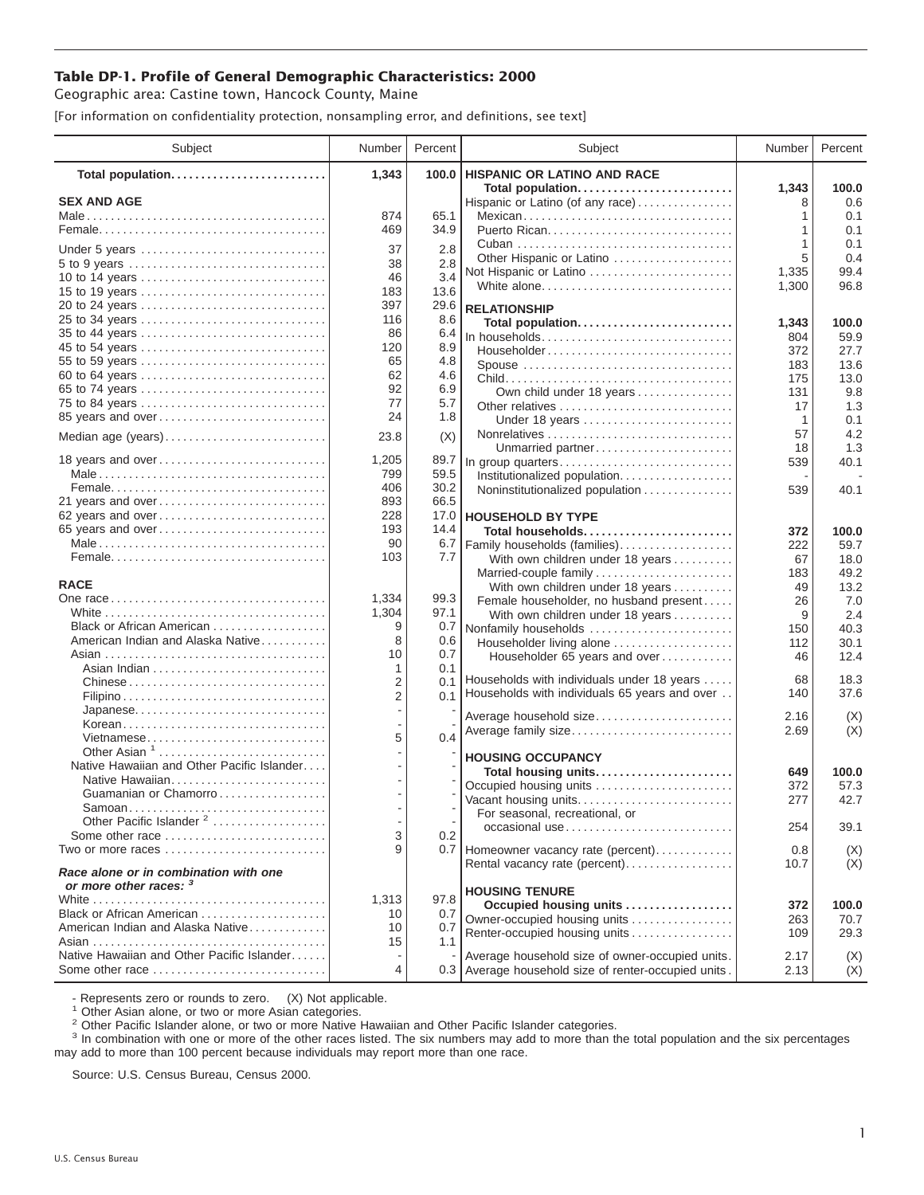## **Table DP-1. Profile of General Demographic Characteristics: 2000**

Geographic area: Castine town, Hancock County, Maine

[For information on confidentiality protection, nonsampling error, and definitions, see text]

| Subject                                                                | Number         | Percent      | Subject                                              | Number     | Percent      |
|------------------------------------------------------------------------|----------------|--------------|------------------------------------------------------|------------|--------------|
| Total population                                                       | 1,343          | 100.0        | <b>HISPANIC OR LATINO AND RACE</b>                   |            |              |
| <b>SEX AND AGE</b>                                                     |                |              | Total population                                     | 1,343<br>8 | 100.0<br>0.6 |
|                                                                        | 874            | 65.1         | Hispanic or Latino (of any race)<br>Mexican          | 1          | 0.1          |
|                                                                        | 469            | 34.9         | Puerto Rican                                         | 1          | 0.1          |
|                                                                        |                |              |                                                      | 1          | 0.1          |
| Under 5 years                                                          | 37<br>38       | 2.8          | Other Hispanic or Latino                             | 5          | 0.4          |
| 5 to 9 years<br>10 to 14 years                                         | 46             | 2.8<br>3.4   | Not Hispanic or Latino                               | 1,335      | 99.4         |
| 15 to 19 years                                                         | 183            | 13.6         | White alone                                          | 1,300      | 96.8         |
| 20 to 24 years                                                         | 397            | 29.6         | <b>RELATIONSHIP</b>                                  |            |              |
| 25 to 34 years                                                         | 116            | 8.6          | Total population                                     | 1,343      | 100.0        |
| 35 to 44 years                                                         | 86             | 6.4          | In households                                        | 804        | 59.9         |
| 45 to 54 years                                                         | 120            | 8.9          | Householder                                          | 372        | 27.7         |
| 55 to 59 years                                                         | 65             | 4.8          | Spouse                                               | 183        | 13.6         |
| 60 to 64 years                                                         | 62             | 4.6          |                                                      | 175        | 13.0         |
| 65 to 74 years                                                         | 92             | 6.9          | Own child under 18 years                             | 131        | 9.8          |
| 75 to 84 years                                                         | 77             | 5.7          | Other relatives                                      | 17         | 1.3          |
| 85 years and over                                                      | 24             | 1.8          | Under 18 years                                       | -1         | 0.1          |
| Median age (years)                                                     | 23.8           | (X)          |                                                      | 57         | 4.2          |
|                                                                        |                |              | Unmarried partner                                    | 18         | 1.3          |
| 18 years and over                                                      | 1,205<br>799   | 89.7<br>59.5 | In group quarters                                    | 539        | 40.1         |
|                                                                        | 406            | 30.2         | Institutionalized population                         |            |              |
| 21 years and over                                                      | 893            | 66.5         | Noninstitutionalized population                      | 539        | 40.1         |
| 62 years and over                                                      | 228            | 17.0         | <b>HOUSEHOLD BY TYPE</b>                             |            |              |
| 65 years and over                                                      | 193            | 14.4         | Total households                                     | 372        | 100.0        |
|                                                                        | 90             | 6.7          | Family households (families)                         | 222        | 59.7         |
|                                                                        | 103            | 7.7          | With own children under 18 years                     | 67         | 18.0         |
|                                                                        |                |              | Married-couple family                                | 183        | 49.2         |
| <b>RACE</b>                                                            |                |              | With own children under 18 years                     | 49         | 13.2         |
|                                                                        | 1,334          | 99.3         | Female householder, no husband present               | 26         | 7.0          |
|                                                                        | 1,304          | 97.1         | With own children under 18 years                     | 9          | 2.4          |
| Black or African American                                              | 9              | 0.7          | Nonfamily households                                 | 150        | 40.3         |
| American Indian and Alaska Native                                      | 8<br>10        | 0.6<br>0.7   | Householder living alone                             | 112        | 30.1         |
|                                                                        | 1              | 0.1          | Householder 65 years and over                        | 46         | 12.4         |
|                                                                        | 2              | 0.1          | Households with individuals under 18 years           | 68         | 18.3         |
|                                                                        | $\overline{2}$ | 0.1          | Households with individuals 65 years and over        | 140        | 37.6         |
| Japanese                                                               |                |              |                                                      | 2.16       |              |
| Korean                                                                 |                |              | Average household size<br>Average family size        | 2.69       | (X)<br>(X)   |
| Vietnamese                                                             | 5              | 0.4          |                                                      |            |              |
| Other Asian <sup>1</sup>                                               |                |              | <b>HOUSING OCCUPANCY</b>                             |            |              |
| Native Hawaiian and Other Pacific Islander                             |                |              | Total housing units                                  | 649        | 100.0        |
| Native Hawaiian                                                        |                |              | Occupied housing units                               | 372        | 57.3         |
| Guamanian or Chamorro                                                  |                |              | Vacant housing units                                 | 277        | 42.7         |
| Samoan<br>Other Pacific Islander <sup>2</sup>                          |                |              | For seasonal, recreational, or                       |            |              |
| Some other race                                                        | 3              | 0.2          | occasional use                                       | 254        | 39.1         |
| Two or more races $\dots\dots\dots\dots\dots\dots\dots\dots\dots\dots$ | 9              |              | 0.7 Homeowner vacancy rate (percent)                 | 0.8        | (X)          |
|                                                                        |                |              | Rental vacancy rate (percent)                        | 10.7       | (X)          |
| Race alone or in combination with one<br>or more other races: 3        |                |              |                                                      |            |              |
|                                                                        | 1.313          | 97.8         | <b>HOUSING TENURE</b>                                |            |              |
| Black or African American                                              | 10             | 0.7          | Occupied housing units                               | 372        | 100.0        |
| American Indian and Alaska Native                                      | 10             | 0.7          | Owner-occupied housing units                         | 263        | 70.7         |
|                                                                        | 15             | 1.1          | Renter-occupied housing units                        | 109        | 29.3         |
| Native Hawaiian and Other Pacific Islander                             |                |              | Average household size of owner-occupied units.      | 2.17       | (X)          |
| Some other race                                                        | 4              |              | 0.3 Average household size of renter-occupied units. | 2.13       | (X)          |

- Represents zero or rounds to zero. (X) Not applicable.<br><sup>1</sup> Other Asian alone, or two or more Asian categories.

<sup>2</sup> Other Pacific Islander alone, or two or more Native Hawaiian and Other Pacific Islander categories.<br><sup>3</sup> In combination with one or more of the other races listed. The six numbers may add to more than the total populati may add to more than 100 percent because individuals may report more than one race.

Source: U.S. Census Bureau, Census 2000.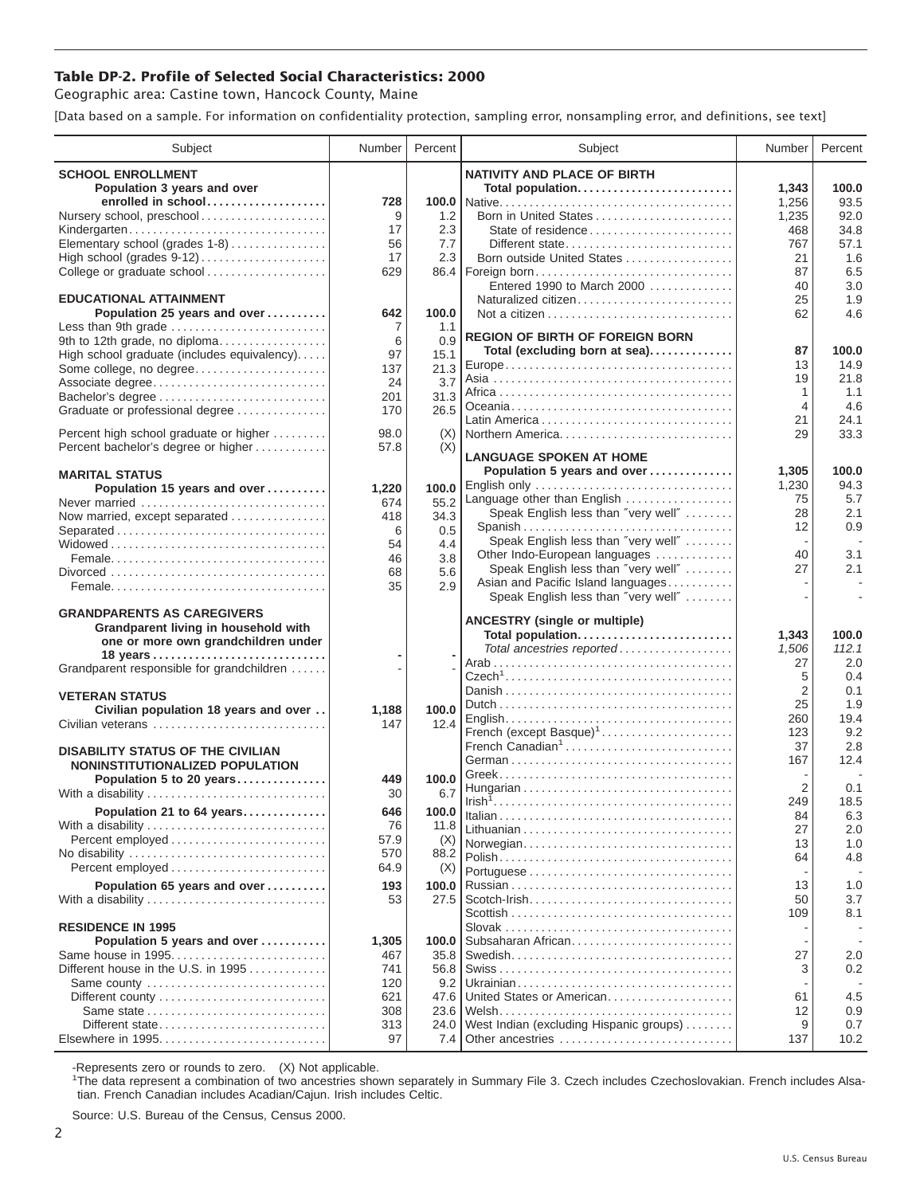## **Table DP-2. Profile of Selected Social Characteristics: 2000**

Geographic area: Castine town, Hancock County, Maine

[Data based on a sample. For information on confidentiality protection, sampling error, nonsampling error, and definitions, see text]

| Subject                                       | Number     | Percent      | Subject                                                             | Number         | Percent     |
|-----------------------------------------------|------------|--------------|---------------------------------------------------------------------|----------------|-------------|
| <b>SCHOOL ENROLLMENT</b>                      |            |              | <b>NATIVITY AND PLACE OF BIRTH</b>                                  |                |             |
| Population 3 years and over                   |            |              | Total population                                                    | 1,343          | 100.0       |
| enrolled in school                            | 728        |              |                                                                     | 1,256          | 93.5        |
| Nursery school, preschool                     | 9          | 1.2          | Born in United States                                               | 1,235          | 92.0        |
| Kindergarten                                  | 17         | 2.3          | State of residence                                                  | 468            | 34.8        |
| Elementary school (grades 1-8)                | 56         | 7.7          | Different state                                                     | 767            | 57.1        |
| High school (grades 9-12)                     | 17         | 2.3          | Born outside United States                                          | 21             | 1.6         |
| College or graduate school                    | 629        | 86.4         | Foreign born                                                        | 87             | 6.5         |
| <b>EDUCATIONAL ATTAINMENT</b>                 |            |              | Entered 1990 to March 2000<br>Naturalized citizen                   | 40<br>25       | 3.0<br>1.9  |
| Population 25 years and over                  | 642        | 100.0        |                                                                     | 62             | 4.6         |
| Less than 9th grade                           | 7          | 1.1          |                                                                     |                |             |
| 9th to 12th grade, no diploma                 | 6          | 0.9          | <b>REGION OF BIRTH OF FOREIGN BORN</b>                              |                |             |
| High school graduate (includes equivalency)   | 97         | 15.1         | Total (excluding born at sea)                                       | 87             | 100.0       |
| Some college, no degree                       | 137        | 21.3         |                                                                     | 13             | 14.9        |
| Associate degree                              | 24         | 3.7          |                                                                     | 19<br>1        | 21.8<br>1.1 |
| Bachelor's degree                             | 201        | 31.3         |                                                                     | $\overline{4}$ | 4.6         |
| Graduate or professional degree               | 170        | 26.5         |                                                                     | 21             | 24.1        |
| Percent high school graduate or higher        | 98.0       | (X)          | Northern America                                                    | 29             | 33.3        |
| Percent bachelor's degree or higher           | 57.8       | (X)          |                                                                     |                |             |
|                                               |            |              | <b>LANGUAGE SPOKEN AT HOME</b>                                      |                |             |
| <b>MARITAL STATUS</b>                         |            |              | Population 5 years and over                                         | 1,305          | 100.0       |
| Population 15 years and over                  | 1,220      | 100.0        | English only                                                        | 1,230          | 94.3        |
| Never married                                 | 674        | 55.2         | Language other than English<br>Speak English less than "very well"  | 75<br>28       | 5.7<br>2.1  |
| Now married, except separated                 | 418        | 34.3         |                                                                     | 12             | 0.9         |
| Separated                                     | 6          | 0.5          | Speak English less than "very well"                                 |                |             |
|                                               | 54<br>46   | 4.4<br>3.8   | Other Indo-European languages                                       | 40             | 3.1         |
|                                               | 68         | 5.6          | Speak English less than "very well"                                 | 27             | 2.1         |
|                                               | 35         | 2.9          | Asian and Pacific Island languages                                  |                | $\sim$      |
|                                               |            |              | Speak English less than "very well"                                 |                |             |
| <b>GRANDPARENTS AS CAREGIVERS</b>             |            |              | <b>ANCESTRY (single or multiple)</b>                                |                |             |
| Grandparent living in household with          |            |              | Total population                                                    | 1,343          | 100.0       |
| one or more own grandchildren under           |            |              | Total ancestries reported                                           | 1,506          | 112.1       |
| Grandparent responsible for grandchildren     |            |              |                                                                     | 27             | 2.0         |
|                                               |            |              |                                                                     | 5              | 0.4         |
| <b>VETERAN STATUS</b>                         |            |              |                                                                     | $\overline{2}$ | 0.1         |
| Civilian population 18 years and over         | 1,188      | 100.0        |                                                                     | 25             | 1.9         |
| Civilian veterans                             | 147        | 12.4         |                                                                     | 260            | 19.4<br>9.2 |
|                                               |            |              | French (except Basque) <sup>1</sup><br>French Canadian <sup>1</sup> | 123<br>37      | 2.8         |
| <b>DISABILITY STATUS OF THE CIVILIAN</b>      |            |              |                                                                     | 167            | 12.4        |
| NONINSTITUTIONALIZED POPULATION               |            |              |                                                                     |                |             |
| Population 5 to 20 years<br>With a disability | 449<br>30  | 100.0<br>6.7 |                                                                     | 2              | 0.1         |
|                                               |            |              |                                                                     | 249            | 18.5        |
| Population 21 to 64 years                     | 646        | 100.0        |                                                                     | 84             | 6.3         |
| With a disability<br>Percent employed         | 76<br>57.9 | 11.8         |                                                                     | 27             | 2.0         |
| No disability                                 | 570        | (X)<br>88.2  | Norwegian                                                           | 13             | 1.0         |
| Percent employed                              | 64.9       | (X)          |                                                                     | 64             | 4.8         |
| Population 65 years and over                  | 193        | 100.0        |                                                                     | 13             | 1.0         |
| With a disability                             | 53         | 27.5         | $Scott$ -Irish                                                      | 50             | 3.7         |
|                                               |            |              |                                                                     | 109            | 8.1         |
| <b>RESIDENCE IN 1995</b>                      |            |              |                                                                     |                |             |
| Population 5 years and over                   | 1,305      | 100.0        | Subsaharan African                                                  |                |             |
| Same house in 1995                            | 467        | 35.8         |                                                                     | 27             | 2.0         |
| Different house in the U.S. in 1995           | 741        | 56.8         |                                                                     | 3              | 0.2         |
| Same county                                   | 120        | 9.2          | United States or American                                           |                |             |
|                                               | 621<br>308 | 47.6<br>23.6 |                                                                     | 61<br>12       | 4.5<br>0.9  |
| Different state                               | 313        | 24.0         | West Indian (excluding Hispanic groups)                             | 9              | 0.7         |
| Elsewhere in 1995                             | 97         | 7.4          | Other ancestries                                                    | 137            | 10.2        |
|                                               |            |              |                                                                     |                |             |

-Represents zero or rounds to zero. (X) Not applicable. 1 The data represent a combination of two ancestries shown separately in Summary File 3. Czech includes Czechoslovakian. French includes Alsatian. French Canadian includes Acadian/Cajun. Irish includes Celtic.

Source: U.S. Bureau of the Census, Census 2000.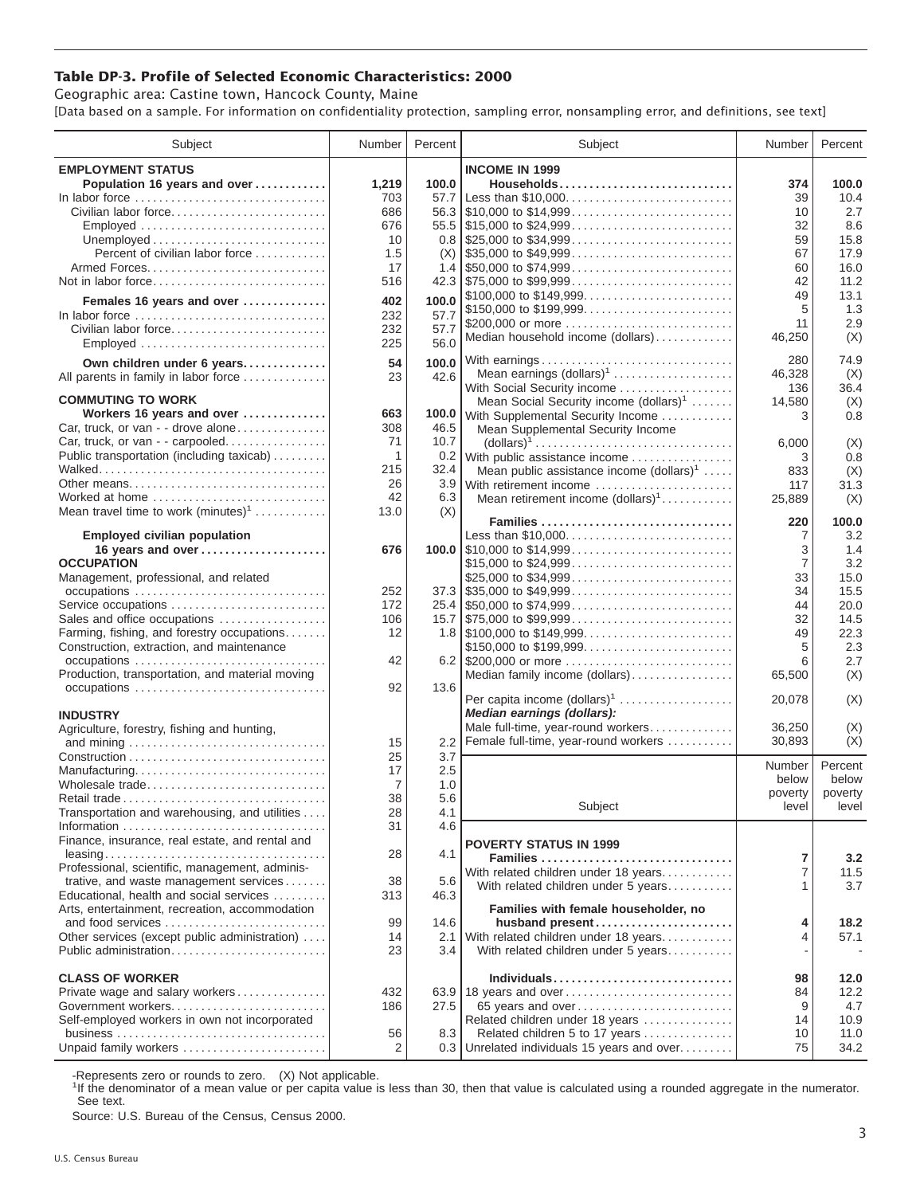## **Table DP-3. Profile of Selected Economic Characteristics: 2000**

Geographic area: Castine town, Hancock County, Maine [Data based on a sample. For information on confidentiality protection, sampling error, nonsampling error, and definitions, see text]

| Subject                                                                                                                           | Number         | Percent | Subject                                                                                | Number         | Percent |
|-----------------------------------------------------------------------------------------------------------------------------------|----------------|---------|----------------------------------------------------------------------------------------|----------------|---------|
| <b>EMPLOYMENT STATUS</b>                                                                                                          |                |         | <b>INCOME IN 1999</b>                                                                  |                |         |
| Population 16 years and over                                                                                                      | 1,219          | 100.0   | Households                                                                             | 374            | 100.0   |
| In labor force                                                                                                                    | 703            | 57.7    |                                                                                        | 39             | 10.4    |
| Civilian labor force                                                                                                              | 686            |         |                                                                                        | 10             | 2.7     |
| Employed                                                                                                                          | 676            |         |                                                                                        | 32             | 8.6     |
|                                                                                                                                   | 10             |         | $0.8$   \$25,000 to \$34,999                                                           | 59             | 15.8    |
| Percent of civilian labor force                                                                                                   | 1.5            | (X)     | $\frac{1}{2}$ \$35,000 to \$49,999                                                     | 67             | 17.9    |
|                                                                                                                                   | 17             |         | 1.4 $\frac{1550,000 \text{ to } $74,999 \dots  \dots  \dots  \dots  }$                 | 60             | 16.0    |
| Not in labor force                                                                                                                | 516            |         |                                                                                        | 42             | 11.2    |
| Females 16 years and over                                                                                                         | 402            | 100.0   | \$100,000 to \$149,999                                                                 | 49             | 13.1    |
| In labor force                                                                                                                    | 232            | 57.7    | \$150,000 to \$199,999                                                                 | 5              | 1.3     |
| Civilian labor force                                                                                                              | 232            | 57.7    | \$200,000 or more                                                                      | 11             | 2.9     |
| Employed                                                                                                                          | 225            | 56.0    | Median household income (dollars)                                                      | 46,250         | (X)     |
|                                                                                                                                   |                |         |                                                                                        |                |         |
| Own children under 6 years                                                                                                        | 54             | 100.0   | With earnings                                                                          | 280            | 74.9    |
| All parents in family in labor force                                                                                              | 23             | 42.6    | Mean earnings (dollars) <sup>1</sup>                                                   | 46,328         | (X)     |
| <b>COMMUTING TO WORK</b>                                                                                                          |                |         | With Social Security income                                                            | 136            | 36.4    |
| Workers 16 years and over                                                                                                         | 663            | 100.0   | Mean Social Security income $(dollars)^1$                                              | 14,580         | (X)     |
| Car, truck, or van - - drove alone                                                                                                | 308            | 46.5    | With Supplemental Security Income                                                      | 3              | 0.8     |
| Car, truck, or van - - carpooled                                                                                                  | 71             | 10.7    | Mean Supplemental Security Income                                                      |                |         |
| Public transportation (including taxicab)                                                                                         | $\overline{1}$ |         | $\text{(dollars)}^1 \dots \dots \dots \dots \dots \dots \dots \dots \dots \dots \dots$ | 6,000          | (X)     |
|                                                                                                                                   | 215            | 32.4    | 0.2 With public assistance income                                                      | 3              | 0.8     |
| Other means                                                                                                                       | 26             |         | Mean public assistance income $(dollars)^1 \ldots$ .                                   | 833            | (X)     |
| Worked at home                                                                                                                    | 42             | 6.3     | 3.9 With retirement income<br>Mean retirement income $(dollars)1$                      | 117            | 31.3    |
| Mean travel time to work $(minutes)^1$                                                                                            | 13.0           | (X)     |                                                                                        | 25,889         | (X)     |
|                                                                                                                                   |                |         | Families                                                                               | 220            | 100.0   |
| <b>Employed civilian population</b>                                                                                               |                |         | Less than \$10,000                                                                     | 7              | 3.2     |
| 16 years and over                                                                                                                 | 676            |         |                                                                                        | 3              | 1.4     |
| <b>OCCUPATION</b>                                                                                                                 |                |         | \$15,000 to \$24,999                                                                   | $\overline{7}$ | 3.2     |
| Management, professional, and related                                                                                             |                |         | \$25,000 to \$34,999                                                                   | 33             | 15.0    |
| occupations                                                                                                                       | 252            |         |                                                                                        | 34             | 15.5    |
| Service occupations                                                                                                               | 172            |         |                                                                                        | 44             | 20.0    |
| Sales and office occupations                                                                                                      | 106            |         |                                                                                        | 32             | 14.5    |
| Farming, fishing, and forestry occupations                                                                                        | 12             |         |                                                                                        | 49             | 22.3    |
| Construction, extraction, and maintenance                                                                                         |                |         | \$150,000 to \$199,999                                                                 | 5              | 2.3     |
| occupations                                                                                                                       | 42             |         |                                                                                        | 6              | 2.7     |
| Production, transportation, and material moving                                                                                   |                |         | Median family income (dollars)                                                         | 65,500         | (X)     |
| occupations                                                                                                                       | 92             | 13.6    |                                                                                        |                |         |
|                                                                                                                                   |                |         | Per capita income $(dollars)1$                                                         | 20,078         | (X)     |
| <b>INDUSTRY</b>                                                                                                                   |                |         | Median earnings (dollars):                                                             |                |         |
| Agriculture, forestry, fishing and hunting,                                                                                       |                |         | Male full-time, year-round workers                                                     | 36,250         | (X)     |
|                                                                                                                                   | 15             | 2.2     | Female full-time, year-round workers                                                   | 30,893         | (X)     |
|                                                                                                                                   | 25             | 3.7     |                                                                                        | Number         | Percent |
| Manufacturing                                                                                                                     | 17             | 2.5     |                                                                                        | below          | below   |
| Wholesale trade                                                                                                                   | 7              | 1.0     |                                                                                        | poverty        | poverty |
| Transportation and warehousing, and utilities                                                                                     | 38             | 5.6     | Subject                                                                                | level          | level   |
|                                                                                                                                   | 28             | 4.1     |                                                                                        |                |         |
| Finance, insurance, real estate, and rental and                                                                                   | 31             | 4.6     |                                                                                        |                |         |
|                                                                                                                                   | 28             | 4.1     | <b>POVERTY STATUS IN 1999</b>                                                          |                |         |
| $leasing \ldots \ldots \ldots \ldots \ldots \ldots \ldots \ldots \ldots \ldots$<br>Professional, scientific, management, adminis- |                |         | Families                                                                               | 7              | 3.2     |
| trative, and waste management services                                                                                            | 38             | 5.6     | With related children under 18 years                                                   | $\overline{7}$ | 11.5    |
| Educational, health and social services                                                                                           | 313            | 46.3    | With related children under 5 years                                                    | 1              | 3.7     |
| Arts, entertainment, recreation, accommodation                                                                                    |                |         | Families with female householder, no                                                   |                |         |
| and food services                                                                                                                 | 99             | 14.6    | husband present                                                                        | 4              | 18.2    |
| Other services (except public administration)                                                                                     | 14             | 2.1     | With related children under 18 years                                                   | 4              | 57.1    |
| Public administration                                                                                                             | 23             | 3.4     | With related children under 5 years                                                    |                |         |
|                                                                                                                                   |                |         |                                                                                        |                |         |
| <b>CLASS OF WORKER</b>                                                                                                            |                |         | Individuals                                                                            | 98             | 12.0    |
| Private wage and salary workers                                                                                                   | 432            |         | 63.9 18 years and over                                                                 | 84             | 12.2    |
| Government workers                                                                                                                | 186            | 27.5    | 65 years and over                                                                      | 9              | 4.7     |
| Self-employed workers in own not incorporated                                                                                     |                |         | Related children under 18 years                                                        | 14             | 10.9    |
|                                                                                                                                   | 56             | 8.3     | Related children 5 to 17 years                                                         | 10             | 11.0    |
| Unpaid family workers                                                                                                             | 2              |         | 0.3 Unrelated individuals 15 years and over                                            | 75             | 34.2    |

-Represents zero or rounds to zero. (X) Not applicable.

<sup>1</sup>If the denominator of a mean value or per capita value is less than 30, then that value is calculated using a rounded aggregate in the numerator. See text.

Source: U.S. Bureau of the Census, Census 2000.